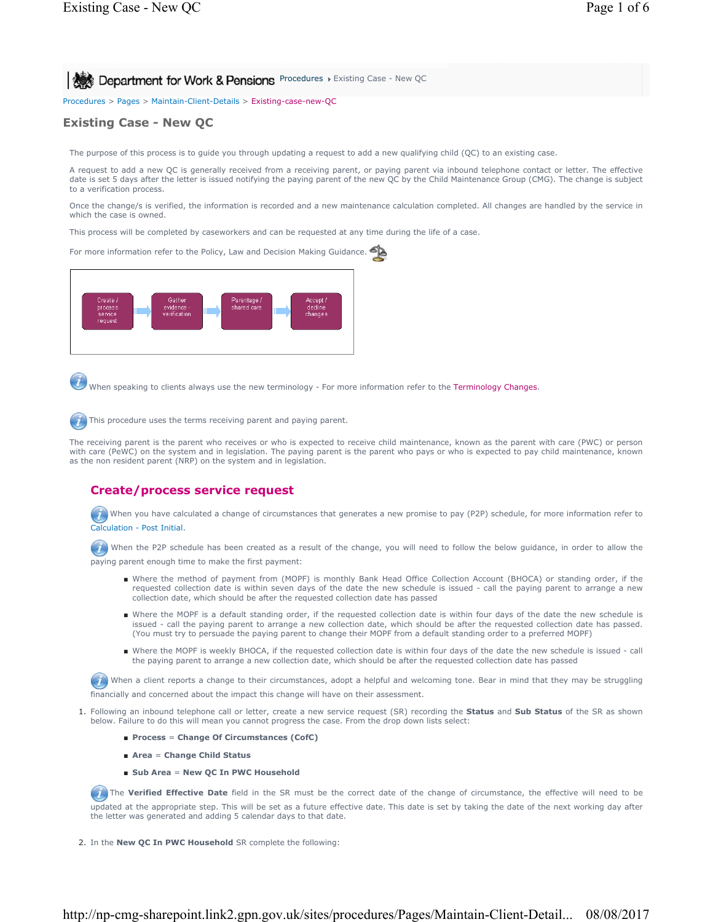**Procedures > Existing Case - New QC Ago Art Address Open Structures Department for Work & Pensions** Procedures > Existing Case - New QC

Procedures > Pages > Maintain-Client-Details > Existing-case-new-QC

# **Existing Case - New QC**

The purpose of this process is to guide you through updating a request to add a new qualifying child (QC) to an existing case.

A request to add a new QC is generally received from a receiving parent, or paying parent via inbound telephone contact or letter. The effective date is set 5 days after the letter is issued notifying the paying parent of the new QC by the Child Maintenance Group (CMG). The change is subject to a verification process.

Once the change/s is verified, the information is recorded and a new maintenance calculation completed. All changes are handled by the service in which the case is owned.

This process will be completed by caseworkers and can be requested at any time during the life of a case.

For more information refer to the Policy, Law and Decision Making Guidance.



When speaking to clients always use the new terminology - For more information refer to the Terminology Changes.

This procedure uses the terms receiving parent and paying parent.

The receiving parent is the parent who receives or who is expected to receive child maintenance, known as the parent with care (PWC) or person with care (PeWC) on the system and in legislation. The paying parent is the parent who pays or who is expected to pay child maintenance, known as the non resident parent (NRP) on the system and in legislation.

# **Create/process service request**

When you have calculated a change of circumstances that generates a new promise to pay (P2P) schedule, for more information refer to Calculation - Post Initial.

(1) When the P2P schedule has been created as a result of the change, you will need to follow the below guidance, in order to allow the paying parent enough time to make the first payment:

- Where the method of payment from (MOPF) is monthly Bank Head Office Collection Account (BHOCA) or standing order, if the requested collection date is within seven days of the date the new schedule is issued - call the paying parent to arrange a new collection date, which should be after the requested collection date has passed
- Where the MOPF is a default standing order, if the requested collection date is within four days of the date the new schedule is issued - call the paying parent to arrange a new collection date, which should be after the requested collection date has passed. (You must try to persuade the paying parent to change their MOPF from a default standing order to a preferred MOPF)
- Where the MOPF is weekly BHOCA, if the requested collection date is within four days of the date the new schedule is issued call the paying parent to arrange a new collection date, which should be after the requested collection date has passed

When a client reports a change to their circumstances, adopt a helpful and welcoming tone. Bear in mind that they may be struggling

financially and concerned about the impact this change will have on their assessment.

- Following an inbound telephone call or letter, create a new service request (SR) recording the **Status** and **Sub Status** of the SR as shown 1. below. Failure to do this will mean you cannot progress the case. From the drop down lists select:
	- **Process** = **Change Of Circumstances (CofC)**
	- **Area** = **Change Child Status**
	- **Sub Area** = **New QC In PWC Household**

The Verified Effective Date field in the SR must be the correct date of the change of circumstance, the effective will need to be updated at the appropriate step. This will be set as a future effective date. This date is set by taking the date of the next working day after the letter was generated and adding 5 calendar days to that date.

2. In the **New QC In PWC Household** SR complete the following: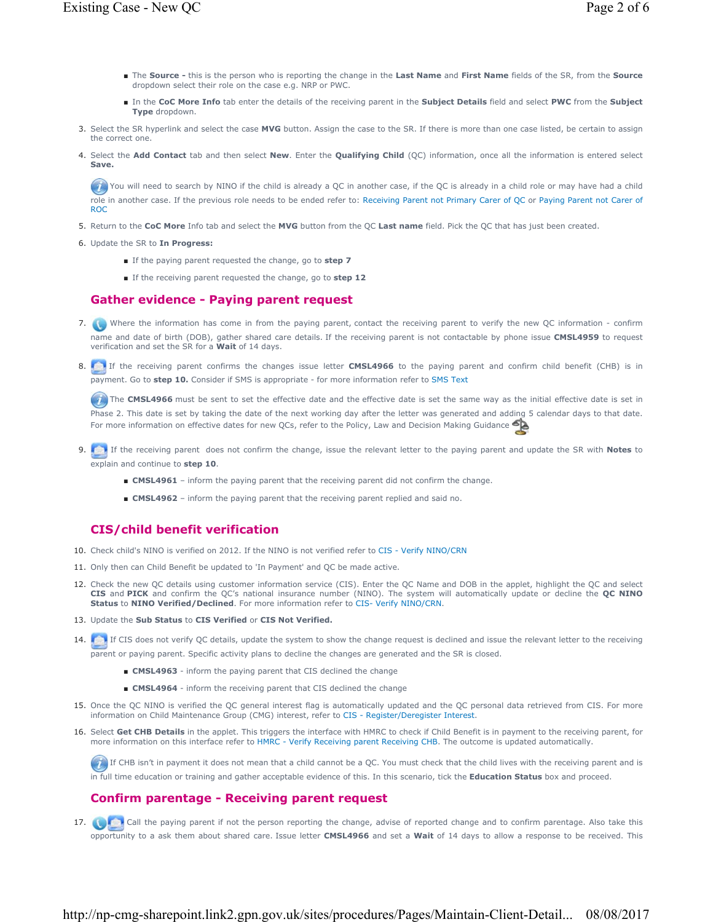- The Source this is the person who is reporting the change in the Last Name and First Name fields of the SR, from the Source dropdown select their role on the case e.g. NRP or PWC.
- In the CoC More Info tab enter the details of the receiving parent in the Subject Details field and select PWC from the Subject **Type** dropdown.
- Select the SR hyperlink and select the case **MVG** button. Assign the case to the SR. If there is more than one case listed, be certain to assign 3. the correct one.
- 4. Select the Add Contact tab and then select New. Enter the Qualifying Child (QC) information, once all the information is entered select **Save.**

You will need to search by NINO if the child is already a QC in another case, if the QC is already in a child role or may have had a child role in another case. If the previous role needs to be ended refer to: Receiving Parent not Primary Carer of QC or Paying Parent not Carer of ROC

- 5. Return to the **CoC More** Info tab and select the **MVG** button from the QC **Last name** field. Pick the QC that has just been created.
- 6. Update the SR to **In Progress:**
	- If the paying parent requested the change, go to **step 7**
	- If the receiving parent requested the change, go to **step 12**

### **Gather evidence - Paying parent request**

- 7. Where the information has come in from the paying parent, contact the receiving parent to verify the new QC information confirm name and date of birth (DOB), gather shared care details. If the receiving parent is not contactable by phone issue **CMSL4959** to request verification and set the SR for a **Wait** of 14 days.
- 8. **If the receiving parent confirms the changes issue letter CMSL4966** to the paying parent and confirm child benefit (CHB) is in payment. Go to **step 10.** Consider if SMS is appropriate - for more information refer to SMS Text

The CMSL4966 must be sent to set the effective date and the effective date is set the same way as the initial effective date is set in Phase 2. This date is set by taking the date of the next working day after the letter was generated and adding 5 calendar days to that date. For more information on effective dates for new QCs, refer to the Policy, Law and Decision Making Guidance

- If the receiving parent does not confirm the change, issue the relevant letter to the paying parent and update the SR with **Notes** to 9. explain and continue to **step 10**.
	- **CMSL4961** inform the paying parent that the receiving parent did not confirm the change.
	- **CMSL4962** inform the paying parent that the receiving parent replied and said no.

## **CIS/child benefit verification**

- 10. Check child's NINO is verified on 2012. If the NINO is not verified refer to CIS Verify NINO/CRN
- 11. Only then can Child Benefit be updated to 'In Payment' and QC be made active.
- 12. Check the new QC details using customer information service (CIS). Enter the QC Name and DOB in the applet, highlight the QC and select **CIS** and **PICK** and confirm the QC's national insurance number (NINO). The system will automatically update or decline the **QC NINO Status** to **NINO Verified/Declined**. For more information refer to CIS- Verify NINO/CRN.
- 13. Update the **Sub Status** to **CIS Verified** or **CIS Not Verified.**
- 14. If CIS does not verify QC details, update the system to show the change request is declined and issue the relevant letter to the receiving parent or paying parent. Specific activity plans to decline the changes are generated and the SR is closed.
	- **CMSL4963** inform the paying parent that CIS declined the change
	- **CMSL4964** inform the receiving parent that CIS declined the change
- 15. Once the QC NINO is verified the QC general interest flag is automatically updated and the QC personal data retrieved from CIS. For more information on Child Maintenance Group (CMG) interest, refer to CIS - Register/Deregister Interest.
- 16. Select Get CHB Details in the applet. This triggers the interface with HMRC to check if Child Benefit is in payment to the receiving parent, for more information on this interface refer to HMRC - Verify Receiving parent Receiving CHB. The outcome is updated automatically.

If CHB isn't in payment it does not mean that a child cannot be a QC. You must check that the child lives with the receiving parent and is in full time education or training and gather acceptable evidence of this. In this scenario, tick the **Education Status** box and proceed.

## **Confirm parentage - Receiving parent request**

17. **Call the paying parent if not the person reporting the change, advise of reported change and to confirm parentage. Also take this** opportunity to a ask them about shared care. Issue letter **CMSL4966** and set a **Wait** of 14 days to allow a response to be received. This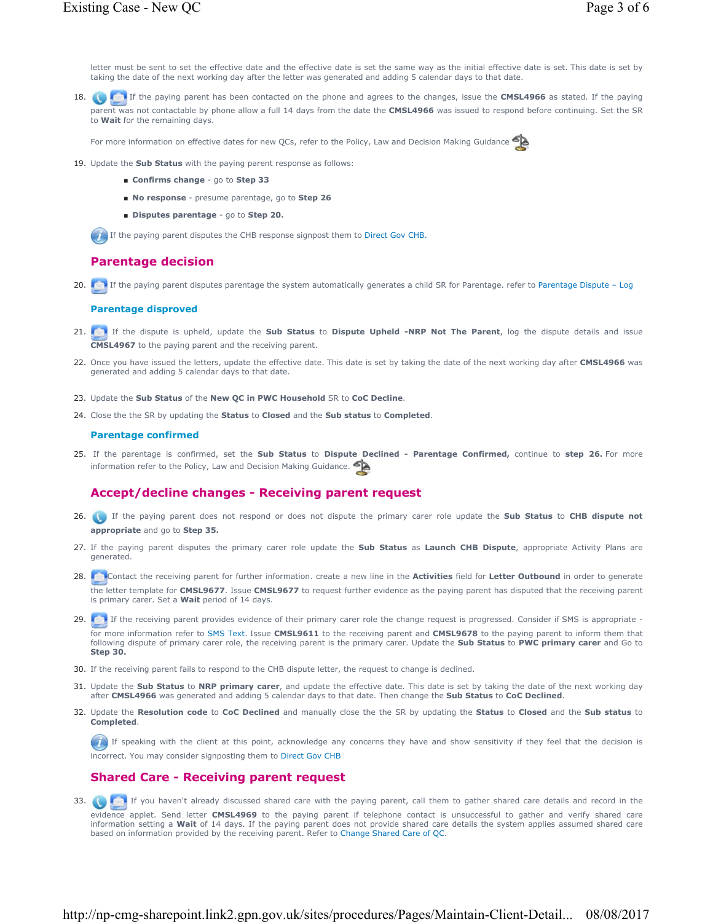letter must be sent to set the effective date and the effective date is set the same way as the initial effective date is set. This date is set by taking the date of the next working day after the letter was generated and adding 5 calendar days to that date.

18. **If the paying parent has been contacted on the phone and agrees to the changes, issue the <b>CMSL4966** as stated. If the paying parent was not contactable by phone allow a full 14 days from the date the **CMSL4966** was issued to respond before continuing. Set the SR to **Wait** for the remaining days.

For more information on effective dates for new QCs, refer to the Policy, Law and Decision Making Guidance

- 19. Update the **Sub Status** with the paying parent response as follows:
	- **Confirms change** go to **Step 33**
	- **No response** presume parentage, go to **Step 26**
	- **Disputes parentage** go to **Step 20.**

**If the paying parent disputes the CHB response signpost them to Direct Gov CHB.** 

### **Parentage decision**

20. **If the paying parent disputes parentage the system automatically generates a child SR for Parentage. refer to Parentage Dispute – Log** 

#### **Parentage disproved**

- If the dispute is upheld, update the **Sub Status** to **Dispute Upheld -NRP Not The Parent**, log the dispute details and issue 21. **CMSL4967** to the paying parent and the receiving parent.
- 22. Once you have issued the letters, update the effective date. This date is set by taking the date of the next working day after CMSL4966 was generated and adding 5 calendar days to that date.
- 23. Update the **Sub Status** of the **New QC in PWC Household** SR to **CoC Decline**.
- 24. Close the the SR by updating the **Status** to **Closed** and the **Sub status** to **Completed**.

#### **Parentage confirmed**

 If the parentage is confirmed, set the **Sub Status** to **Dispute Declined - Parentage Confirmed,** continue to **step 26.** For more 25. information refer to the Policy, Law and Decision Making Guidance.

### **Accept/decline changes - Receiving parent request**

- If the paying parent does not respond or does not dispute the primary carer role update the **Sub Status** to **CHB dispute not**  26. **appropriate** and go to **Step 35.**
- If the paying parent disputes the primary carer role update the **Sub Status** as **Launch CHB Dispute**, appropriate Activity Plans are 27. generated.
- Contact the receiving parent for further information. create a new line in the **Activities** field for **Letter Outbound** in order to generate 28. the letter template for **CMSL9677**. Issue **CMSL9677** to request further evidence as the paying parent has disputed that the receiving parent is primary carer. Set a **Wait** period of 14 days.
- 29. If the receiving parent provides evidence of their primary carer role the change request is progressed. Consider if SMS is appropriate for more information refer to SMS Text. Issue **CMSL9611** to the receiving parent and **CMSL9678** to the paying parent to inform them that following dispute of primary carer role, the receiving parent is the primary carer. Update the **Sub Status** to **PWC primary carer** and Go to **Step 30.**
- 30. If the receiving parent fails to respond to the CHB dispute letter, the request to change is declined.
- 31. Update the Sub Status to NRP primary carer, and update the effective date. This date is set by taking the date of the next working day after **CMSL4966** was generated and adding 5 calendar days to that date. Then change the **Sub Status** to **CoC Declined**.
- 32. Update the Resolution code to CoC Declined and manually close the the SR by updating the Status to Closed and the Sub status to **Completed**.

If speaking with the client at this point, acknowledge any concerns they have and show sensitivity if they feel that the decision is incorrect. You may consider signposting them to Direct Gov CHB

### **Shared Care - Receiving parent request**

33. **The Figure 1** If you haven't already discussed shared care with the paying parent, call them to gather shared care details and record in the evidence applet. Send letter **CMSL4969** to the paying parent if telephone contact is unsuccessful to gather and verify shared care information setting a **Wait** of 14 days. If the paying parent does not provide shared care details the system applies assumed shared care based on information provided by the receiving parent. Refer to Change Shared Care of QC.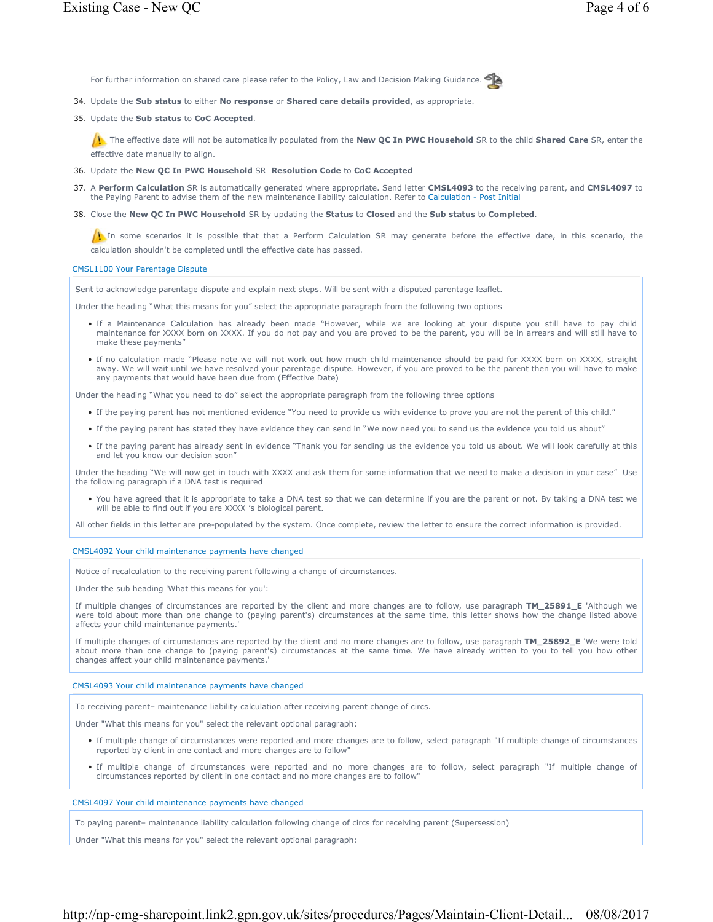For further information on shared care please refer to the Policy, Law and Decision Making Guidance.



34. Update the **Sub status** to either **No response** or **Shared care details provided**, as appropriate.

#### 35. Update the **Sub status** to CoC Accepted.

The effective date will not be automatically populated from the **New QC In PWC Household** SR to the child **Shared Care** SR, enter the effective date manually to align.

36. Update the **New QC In PWC Household** SR **Resolution Code** to **CoC Accepted** 

- 37. A Perform Calculation SR is automatically generated where appropriate. Send letter CMSL4093 to the receiving parent, and CMSL4097 to the Paying Parent to advise them of the new maintenance liability calculation. Refer to Calculation - Post Initial
- Close the **New QC In PWC Household** SR by updating the **Status** to **Closed** and the **Sub status** to **Completed**. 38.

In some scenarios it is possible that that a Perform Calculation SR may generate before the effective date, in this scenario, the calculation shouldn't be completed until the effective date has passed.

#### CMSL1100 Your Parentage Dispute

Sent to acknowledge parentage dispute and explain next steps. Will be sent with a disputed parentage leaflet.

Under the heading "What this means for you" select the appropriate paragraph from the following two options

- If a Maintenance Calculation has already been made "However, while we are looking at your dispute you still have to pay child maintenance for XXXX born on XXXX. If you do not pay and you are proved to be the parent, you will be in arrears and will still have to make these payments"
- If no calculation made "Please note we will not work out how much child maintenance should be paid for XXXX born on XXXX, straight away. We will wait until we have resolved your parentage dispute. However, if you are proved to be the parent then you will have to make any payments that would have been due from (Effective Date)

Under the heading "What you need to do" select the appropriate paragraph from the following three options

- If the paying parent has not mentioned evidence "You need to provide us with evidence to prove you are not the parent of this child."
- If the paying parent has stated they have evidence they can send in "We now need you to send us the evidence you told us about"
- If the paying parent has already sent in evidence "Thank you for sending us the evidence you told us about. We will look carefully at this and let you know our decision soon"

Under the heading "We will now get in touch with XXXX and ask them for some information that we need to make a decision in your case" Use the following paragraph if a DNA test is required

You have agreed that it is appropriate to take a DNA test so that we can determine if you are the parent or not. By taking a DNA test we will be able to find out if you are XXXX 's biological parent. •

All other fields in this letter are pre-populated by the system. Once complete, review the letter to ensure the correct information is provided.

#### CMSL4092 Your child maintenance payments have changed

Notice of recalculation to the receiving parent following a change of circumstances.

Under the sub heading 'What this means for you':

If multiple changes of circumstances are reported by the client and more changes are to follow, use paragraph **TM\_25891\_E** 'Although we were told about more than one change to (paying parent's) circumstances at the same time, this letter shows how the change listed above affects your child maintenance payments.'

If multiple changes of circumstances are reported by the client and no more changes are to follow, use paragraph **TM\_25892\_E** 'We were told about more than one change to (paying parent's) circumstances at the same time. We have already written to you to tell you how other changes affect your child maintenance payments.'

#### CMSL4093 Your child maintenance payments have changed

To receiving parent– maintenance liability calculation after receiving parent change of circs.

Under "What this means for you" select the relevant optional paragraph:

- If multiple change of circumstances were reported and more changes are to follow, select paragraph "If multiple change of circumstances reported by client in one contact and more changes are to follow"
- If multiple change of circumstances were reported and no more changes are to follow, select paragraph "If multiple change of circumstances reported by client in one contact and no more changes are to follow"

#### CMSL4097 Your child maintenance payments have changed

To paying parent– maintenance liability calculation following change of circs for receiving parent (Supersession)

Under "What this means for you" select the relevant optional paragraph: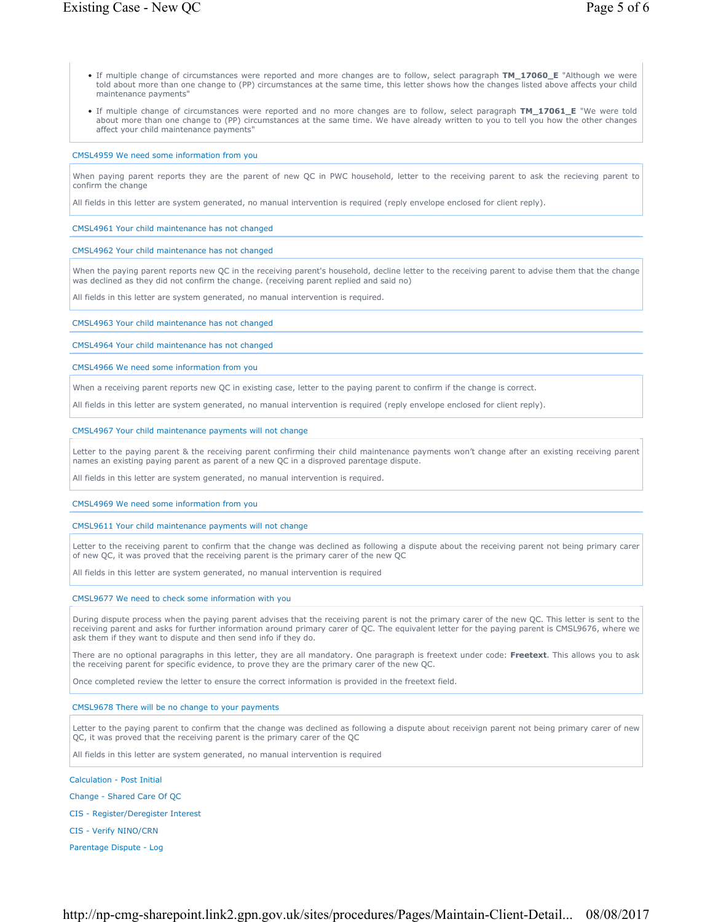- If multiple change of circumstances were reported and more changes are to follow, select paragraph **TM\_17060\_E** "Although we were told about more than one change to (PP) circumstances at the same time, this letter shows how the changes listed above affects your child maintenance payments"
- If multiple change of circumstances were reported and no more changes are to follow, select paragraph **TM\_17061\_E** "We were told about more than one change to (PP) circumstances at the same time. We have already written to you to tell you how the other changes affect your child maintenance payments"

#### CMSL4959 We need some information from you

When paying parent reports they are the parent of new QC in PWC household, letter to the receiving parent to ask the recieving parent to confirm the change

All fields in this letter are system generated, no manual intervention is required (reply envelope enclosed for client reply).

#### CMSL4961 Your child maintenance has not changed

#### CMSL4962 Your child maintenance has not changed

When the paying parent reports new QC in the receiving parent's household, decline letter to the receiving parent to advise them that the change was declined as they did not confirm the change. (receiving parent replied and said no)

All fields in this letter are system generated, no manual intervention is required.

CMSL4963 Your child maintenance has not changed

CMSL4964 Your child maintenance has not changed

CMSL4966 We need some information from you

When a receiving parent reports new QC in existing case, letter to the paying parent to confirm if the change is correct.

All fields in this letter are system generated, no manual intervention is required (reply envelope enclosed for client reply).

#### CMSL4967 Your child maintenance payments will not change

Letter to the paying parent & the receiving parent confirming their child maintenance payments won't change after an existing receiving parent names an existing paying parent as parent of a new QC in a disproved parentage dispute.

All fields in this letter are system generated, no manual intervention is required.

CMSL4969 We need some information from you

#### CMSL9611 Your child maintenance payments will not change

Letter to the receiving parent to confirm that the change was declined as following a dispute about the receiving parent not being primary carer of new QC, it was proved that the receiving parent is the primary carer of the new QC

All fields in this letter are system generated, no manual intervention is required

#### CMSL9677 We need to check some information with you

During dispute process when the paying parent advises that the receiving parent is not the primary carer of the new QC. This letter is sent to the receiving parent and asks for further information around primary carer of QC. The equivalent letter for the paying parent is CMSL9676, where we ask them if they want to dispute and then send info if they do.

There are no optional paragraphs in this letter, they are all mandatory. One paragraph is freetext under code: **Freetext**. This allows you to ask the receiving parent for specific evidence, to prove they are the primary carer of the new QC.

Once completed review the letter to ensure the correct information is provided in the freetext field.

### CMSL9678 There will be no change to your payments

Letter to the paying parent to confirm that the change was declined as following a dispute about receivign parent not being primary carer of new QC, it was proved that the receiving parent is the primary carer of the QC

All fields in this letter are system generated, no manual intervention is required

Calculation - Post Initial

Change - Shared Care Of QC

CIS - Register/Deregister Interest

CIS - Verify NINO/CRN

Parentage Dispute - Log